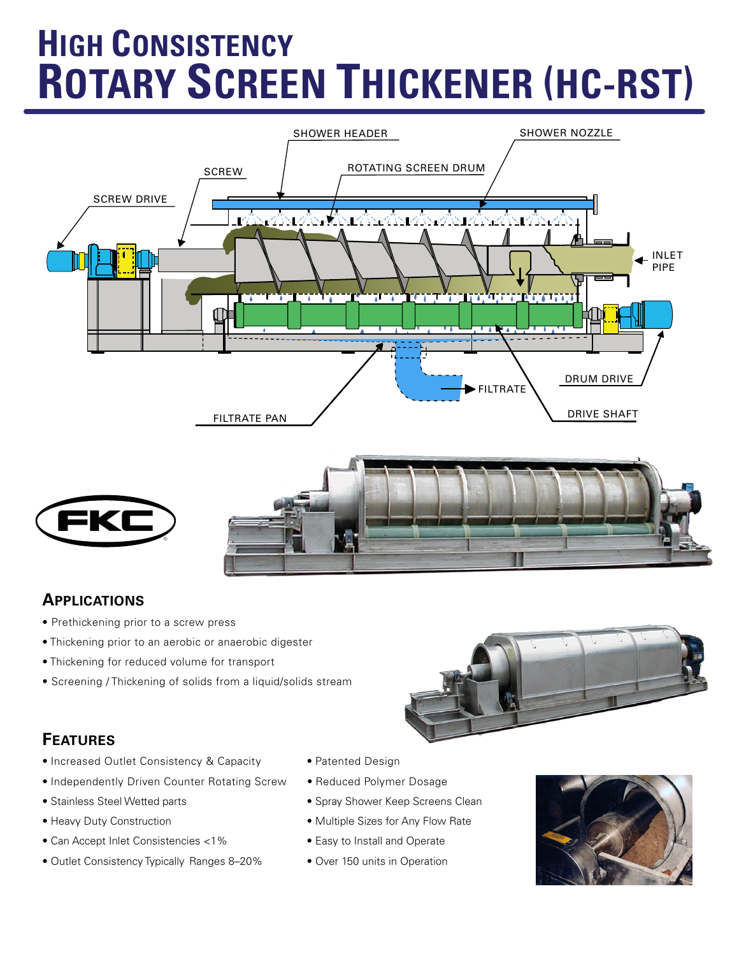# **HIGH CONSISTENCY ROTARY SCREEN THICKENER (HC-RST)**



### **APPLICATIONS**

- Prethickening prior to a screw press
- Thickening prior to an aerobic or anaerobic digester
- Thickening for reduced volume for transport
- Screening / Thickening of solids from a liquid/solids stream

## **FEATURES**

- Increased Outlet Consistency & Capacity Patented Design
- Independently Driven Counter Rotating Screw Reduced Polymer Dosage
- 
- 
- Can Accept Inlet Consistencies <1% Easy to Install and Operate
- Outlet Consistency Typically Ranges 8–20% Over 150 units in Operation
- 
- 
- Stainless Steel Wetted parts Spray Shower Keep Screens Clean
- Heavy Duty Construction 1999 Multiple Sizes for Any Flow Rate
	-
	-